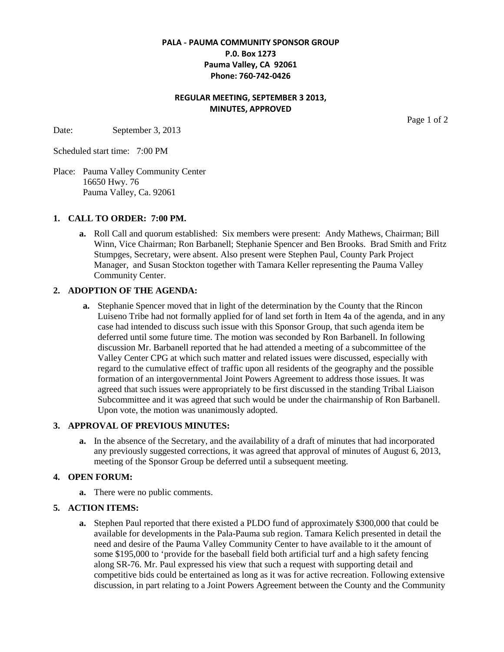# **PALA - PAUMA COMMUNITY SPONSOR GROUP P.0. Box 1273 Pauma Valley, CA 92061 Phone: 760-742-0426**

# **REGULAR MEETING, SEPTEMBER 3 2013, MINUTES, APPROVED**

Date: September 3, 2013

Page 1 of 2

Scheduled start time: 7:00 PM

Place: Pauma Valley Community Center 16650 Hwy. 76 Pauma Valley, Ca. 92061

## **1. CALL TO ORDER: 7:00 PM.**

**a.** Roll Call and quorum established: Six members were present: Andy Mathews, Chairman; Bill Winn, Vice Chairman; Ron Barbanell; Stephanie Spencer and Ben Brooks. Brad Smith and Fritz Stumpges, Secretary, were absent. Also present were Stephen Paul, County Park Project Manager, and Susan Stockton together with Tamara Keller representing the Pauma Valley Community Center.

## **2. ADOPTION OF THE AGENDA:**

**a.** Stephanie Spencer moved that in light of the determination by the County that the Rincon Luiseno Tribe had not formally applied for of land set forth in Item 4a of the agenda, and in any case had intended to discuss such issue with this Sponsor Group, that such agenda item be deferred until some future time. The motion was seconded by Ron Barbanell. In following discussion Mr. Barbanell reported that he had attended a meeting of a subcommittee of the Valley Center CPG at which such matter and related issues were discussed, especially with regard to the cumulative effect of traffic upon all residents of the geography and the possible formation of an intergovernmental Joint Powers Agreement to address those issues. It was agreed that such issues were appropriately to be first discussed in the standing Tribal Liaison Subcommittee and it was agreed that such would be under the chairmanship of Ron Barbanell. Upon vote, the motion was unanimously adopted.

## **3. APPROVAL OF PREVIOUS MINUTES:**

**a.** In the absence of the Secretary, and the availability of a draft of minutes that had incorporated any previously suggested corrections, it was agreed that approval of minutes of August 6, 2013, meeting of the Sponsor Group be deferred until a subsequent meeting.

## **4. OPEN FORUM:**

**a.** There were no public comments.

## **5. ACTION ITEMS:**

**a.** Stephen Paul reported that there existed a PLDO fund of approximately \$300,000 that could be available for developments in the Pala-Pauma sub region. Tamara Kelich presented in detail the need and desire of the Pauma Valley Community Center to have available to it the amount of some \$195,000 to 'provide for the baseball field both artificial turf and a high safety fencing along SR-76. Mr. Paul expressed his view that such a request with supporting detail and competitive bids could be entertained as long as it was for active recreation. Following extensive discussion, in part relating to a Joint Powers Agreement between the County and the Community